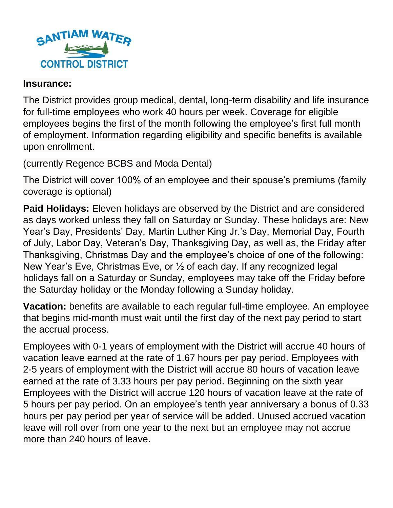

## **Insurance:**

The District provides group medical, dental, long-term disability and life insurance for full-time employees who work 40 hours per week. Coverage for eligible employees begins the first of the month following the employee's first full month of employment. Information regarding eligibility and specific benefits is available upon enrollment.

(currently Regence BCBS and Moda Dental)

The District will cover 100% of an employee and their spouse's premiums (family coverage is optional)

**Paid Holidays:** Eleven holidays are observed by the District and are considered as days worked unless they fall on Saturday or Sunday. These holidays are: New Year's Day, Presidents' Day, Martin Luther King Jr.'s Day, Memorial Day, Fourth of July, Labor Day, Veteran's Day, Thanksgiving Day, as well as, the Friday after Thanksgiving, Christmas Day and the employee's choice of one of the following: New Year's Eve, Christmas Eve, or ½ of each day. If any recognized legal holidays fall on a Saturday or Sunday, employees may take off the Friday before the Saturday holiday or the Monday following a Sunday holiday.

**Vacation:** benefits are available to each regular full-time employee. An employee that begins mid-month must wait until the first day of the next pay period to start the accrual process.

Employees with 0-1 years of employment with the District will accrue 40 hours of vacation leave earned at the rate of 1.67 hours per pay period. Employees with 2-5 years of employment with the District will accrue 80 hours of vacation leave earned at the rate of 3.33 hours per pay period. Beginning on the sixth year Employees with the District will accrue 120 hours of vacation leave at the rate of 5 hours per pay period. On an employee's tenth year anniversary a bonus of 0.33 hours per pay period per year of service will be added. Unused accrued vacation leave will roll over from one year to the next but an employee may not accrue more than 240 hours of leave.